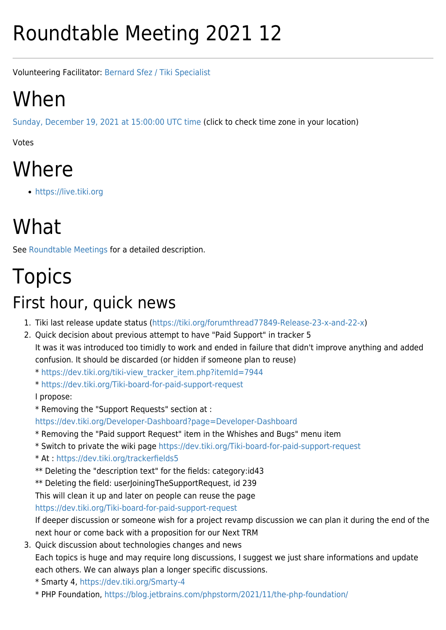# Roundtable Meeting 2021 12

Volunteering Facilitator: [Bernard Sfez / Tiki Specialist](https://suite.tiki.org/user1974)

### When

[Sunday, December 19, 2021 at 15:00:00 UTC time](https://www.timeanddate.com/worldclock/fixedtime.html?year=2021&month=12&day=19&hour=15&min=0&sec=0) (click to check time zone in your location)

Votes

### Where

<https://live.tiki.org>

## What

See [Roundtable Meetings](https://suite.tiki.org/Roundtable-Meetings) for a detailed description.

# Topics

#### First hour, quick news

- 1. Tiki last release update status [\(https://tiki.org/forumthread77849-Release-23-x-and-22-x\)](https://tiki.org/forumthread77849-Release-23-x-and-22-x)
- 2. Quick decision about previous attempt to have "Paid Support" in tracker 5 It was it was introduced too timidly to work and ended in failure that didn't improve anything and added confusion. It should be discarded (or hidden if someone plan to reuse)
	- \* [https://dev.tiki.org/tiki-view\\_tracker\\_item.php?itemId=7944](https://dev.tiki.org/tiki-view_tracker_item.php?itemId=7944)
	- \*<https://dev.tiki.org/Tiki-board-for-paid-support-request>
	- I propose:
	- \* Removing the "Support Requests" section at :

<https://dev.tiki.org/Developer-Dashboard?page=Developer-Dashboard>

- \* Removing the "Paid support Request" item in the Whishes and Bugs" menu item
- \* Switch to private the wiki page<https://dev.tiki.org/Tiki-board-for-paid-support-request>
- \* At :<https://dev.tiki.org/trackerfields5>
- \*\* Deleting the "description text" for the fields: category:id43
- \*\* Deleting the field: userJoiningTheSupportRequest, id 239
- This will clean it up and later on people can reuse the page

<https://dev.tiki.org/Tiki-board-for-paid-support-request>

If deeper discussion or someone wish for a project revamp discussion we can plan it during the end of the next hour or come back with a proposition for our Next TRM

- 3. Quick discussion about technologies changes and news Each topics is huge and may require long discussions, I suggest we just share informations and update each others. We can always plan a longer specific discussions.
	- \* Smarty 4, <https://dev.tiki.org/Smarty-4>
	- \* PHP Foundation, <https://blog.jetbrains.com/phpstorm/2021/11/the-php-foundation/>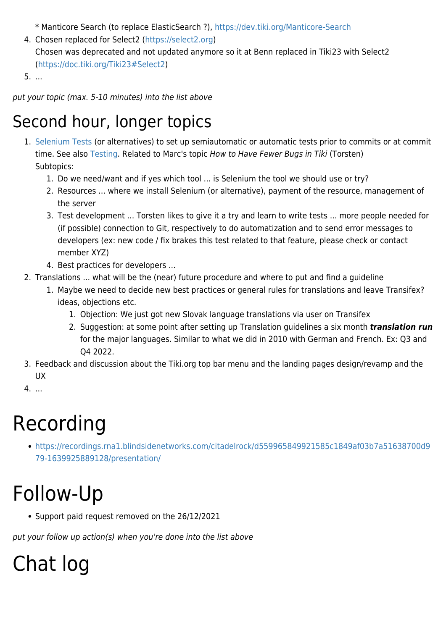\* Manticore Search (to replace ElasticSearch ?), <https://dev.tiki.org/Manticore-Search>

4. Chosen replaced for Select2 ([https://select2.org\)](https://select2.org) Chosen was deprecated and not updated anymore so it at Benn replaced in Tiki23 with Select2 (<https://doc.tiki.org/Tiki23#Select2>)

5. ...

put your topic (max. 5-10 minutes) into the list above

#### Second hour, longer topics

- 1. [Selenium Tests](https://www.selenium.dev/) (or alternatives) to set up semiautomatic or automatic tests prior to commits or at commit time. See also [Testing](http://dev.tiki.org/Testing). Related to Marc's topic How to Have Fewer Bugs in Tiki (Torsten) Subtopics:
	- 1. Do we need/want and if yes which tool ... is Selenium the tool we should use or try?
	- 2. Resources ... where we install Selenium (or alternative), payment of the resource, management of the server
	- 3. Test development ... Torsten likes to give it a try and learn to write tests ... more people needed for (if possible) connection to Git, respectively to do automatization and to send error messages to developers (ex: new code / fix brakes this test related to that feature, please check or contact member XYZ)
	- 4. Best practices for developers ...
- 2. Translations ... what will be the (near) future procedure and where to put and find a guideline
	- 1. Maybe we need to decide new best practices or general rules for translations and leave Transifex? ideas, objections etc.
		- 1. Objection: We just got new Slovak language translations via user on Transifex
		- 2. Suggestion: at some point after setting up Translation guidelines a six month *translation run* for the major languages. Similar to what we did in 2010 with German and French. Ex: Q3 and Q4 2022.
- 3. Feedback and discussion about the Tiki.org top bar menu and the landing pages design/revamp and the UX
- 4. ...

### Recording

[https://recordings.rna1.blindsidenetworks.com/citadelrock/d559965849921585c1849af03b7a51638700d9](https://recordings.rna1.blindsidenetworks.com/citadelrock/d559965849921585c1849af03b7a51638700d979-1639925889128/presentation/) [79-1639925889128/presentation/](https://recordings.rna1.blindsidenetworks.com/citadelrock/d559965849921585c1849af03b7a51638700d979-1639925889128/presentation/)

### Follow-Up

Support paid request removed on the 26/12/2021

put your follow up action(s) when you're done into the list above

# Chat log